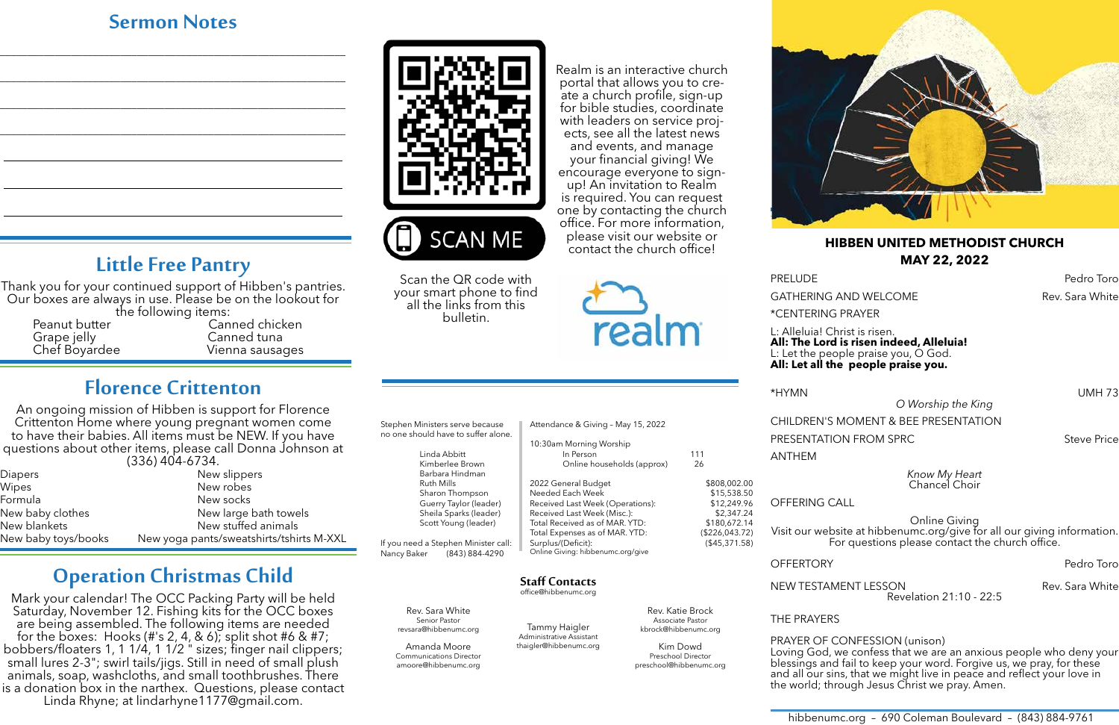hibbenumc.org – 690 Coleman Boulevard – (843) 884-9761

#### **HIBBEN UNITED METHODIST CHURCH MAY 22, 2022**

GATHERING AND WELCOME The Same Rev. Sara White

\*CENTERING PRAYER

*O Worship the King* CHILDREN'S MOMENT & BEE PRESENTATION PRESENTATION FROM SPRC NEtwork of the Steve Price

L: Alleluia! Christ is risen. **All: The Lord is risen indeed, Alleluia!** L: Let the people praise you, O God. **All: Let all the people praise you.**

PRELUDE PRELUDE

\*HYMN UMH 73

ANTHEM

*Know My Heart* Chancel Choir

OFFERING CALL

Online Giving Visit our website at hibbenumc.org/give for all our giving information. For questions please contact the church office.

OFFERTORY Pedro Toro

Thank you for your continued support of Hibben's pantries. Our boxes are always in use. Please be on the lookout for<br>the following items:

> NEW TESTAMENT LESSON Rev. Sara White Revelation 21:10 - 22:5

THE PRAYERS

PRAYER OF CONFESSION (unison) Loving God, we confess that we are an anxious people who deny your blessings and fail to keep your word. Forgive us, we pray, for these and all our sins, that we might live in peace and reflect your love in the world; through Jesus Christ we pray. Amen.

## **Sermon Notes**

\_\_\_\_\_\_\_\_\_\_\_\_\_\_\_\_\_\_\_\_\_\_\_\_\_\_\_\_\_\_\_\_\_\_\_\_\_\_\_\_\_\_\_\_\_\_\_\_\_\_\_\_\_\_\_\_\_\_\_\_\_\_\_

\_\_\_\_\_\_\_\_\_\_\_\_\_\_\_\_\_\_\_\_\_\_\_\_\_\_\_\_\_\_\_\_\_\_\_\_\_\_\_\_\_\_\_\_\_\_\_\_\_\_\_\_\_\_\_\_\_\_\_\_\_\_\_

\_\_\_\_\_\_\_\_\_\_\_\_\_\_\_\_\_\_\_\_\_\_\_\_\_\_\_\_\_\_\_\_\_\_\_\_\_\_\_\_\_\_\_\_\_\_\_\_\_\_\_\_\_\_\_\_\_\_\_\_\_\_\_

\_\_\_\_\_\_\_\_\_\_\_\_\_\_\_\_\_\_\_\_\_\_\_\_\_\_\_\_\_\_\_\_\_\_\_\_\_\_\_\_\_\_\_\_\_\_\_\_\_\_\_\_\_\_\_\_\_\_\_\_\_\_\_



# **Little Free Pantry**

Grape jelly Canned tuna

Peanut butter Canned chicken<br>
Grape jelly Canned tuna Vienna sausages

# **Florence Crittenton**

An ongoing mission of Hibben is support for Florence Crittenton Home where young pregnant women come to have their babies. All items must be NEW. If you have questions about other items, please call Donna Johnson at (336) 404-6734.

| <b>Diapers</b>      | New slippers                             |  |
|---------------------|------------------------------------------|--|
| Wipes               | New robes                                |  |
| Formula             | New socks                                |  |
| New baby clothes    | New large bath towels                    |  |
| New blankets        | New stuffed animals                      |  |
| New baby toys/books | New yoga pants/sweatshirts/tshirts M-XXL |  |

# **Operation Christmas Child**

Mark your calendar! The OCC Packing Party will be held Saturday, November 12. Fishing kits for the OCC boxes are being assembled. The following items are needed<br>for the boxes: Hooks (#'s 2, 4, & 6); split shot #6 & #7; bobbers/floaters 1, 1 1/4, 1 1/2 " sizes; finger nail clippers; small lures 2-3"; swirl tails/jigs. Still in need of small plush animals, soap, washcloths, and small toothbrushes. There is a donation box in the narthex. Questions, please contact Linda Rhyne; at lindarhyne1177@gmail.com.



Tammy Haigler

Associate Pastor kbrock@hibbenumc.org Kim Dowd Preschool Director preschool@hibbenumc.org

Administrative Assistant thaigler@hibbenumc.org Senior Pastor revsara@hibbenumc.org

| Stephen Ministers serve because      | Attendance & Giving - May 15, 2022            |                  |  |
|--------------------------------------|-----------------------------------------------|------------------|--|
| no one should have to suffer alone.  | 10:30am Morning Worship                       |                  |  |
| Linda Abbitt                         | In Person                                     | 111              |  |
| Kimberlee Brown<br>Barbara Hindman   | Online households (approx)                    | 26               |  |
| <b>Ruth Mills</b>                    | 2022 General Budget                           | \$808,002.00     |  |
| Sharon Thompson                      | Needed Each Week                              | \$15,538.50      |  |
| Guerry Taylor (leader)               | Received Last Week (Operations):              | \$12,249.96      |  |
| Sheila Sparks (leader)               | Received Last Week (Misc.):                   | \$2,347.24       |  |
| Scott Young (leader)                 | Total Received as of MAR. YTD:                | \$180,672.14     |  |
|                                      | Total Expenses as of MAR. YTD:                | (\$226,043.72)   |  |
| If you need a Stephen Minister call: | Surplus/(Deficit):                            | $($ \$45,371.58) |  |
| Nancy Baker<br>(843) 884-4290        | Online Giving: hibbenumc.org/give             |                  |  |
|                                      |                                               |                  |  |
|                                      | <b>Staff Contacts</b><br>office@hibbenumc.org |                  |  |
| Rev. Sara White                      |                                               | Rev. Katie Brock |  |

Amanda Moore Communications Director amoore@hibbenumc.org Realm is an interactive church portal that allows you to create a church profile, sign-up for bible studies, coordinate with leaders on service projects, see all the latest news and events, and manage your financial giving! We encourage everyone to signup! An invitation to Realm is required. You can request one by contacting the church office. For more information, please visit our website or contact the church office!



Scan the QR code with your smart phone to find all the links from this bulletin.